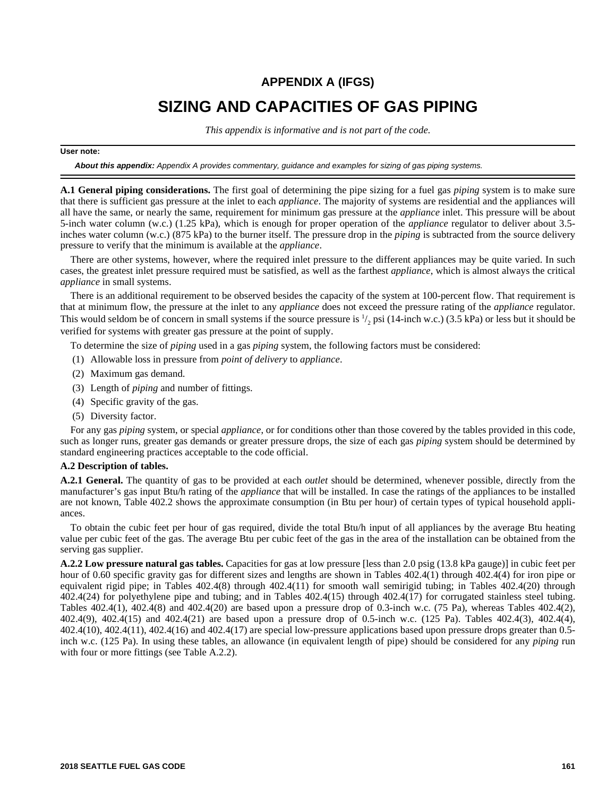# **APPENDIX A (IFGS) SIZING AND CAPACITIES OF GAS PIPING**

*This appendix is informative and is not part of the code.*

#### **User note:**

*About this appendix: Appendix A provides commentary, guidance and examples for sizing of gas piping systems.*

**A.1 General piping considerations.** The first goal of determining the pipe sizing for a fuel gas *piping* system is to make sure that there is sufficient gas pressure at the inlet to each *appliance*. The majority of systems are residential and the appliances will all have the same, or nearly the same, requirement for minimum gas pressure at the *appliance* inlet. This pressure will be about 5-inch water column (w.c.) (1.25 kPa), which is enough for proper operation of the *appliance* regulator to deliver about 3.5 inches water column (w.c.) (875 kPa) to the burner itself. The pressure drop in the *piping* is subtracted from the source delivery pressure to verify that the minimum is available at the *appliance*.

There are other systems, however, where the required inlet pressure to the different appliances may be quite varied. In such cases, the greatest inlet pressure required must be satisfied, as well as the farthest *appliance*, which is almost always the critical *appliance* in small systems.

There is an additional requirement to be observed besides the capacity of the system at 100-percent flow. That requirement is that at minimum flow, the pressure at the inlet to any *appliance* does not exceed the pressure rating of the *appliance* regulator. This would seldom be of concern in small systems if the source pressure is  $\frac{1}{2}$  psi (14-inch w.c.) (3.5 kPa) or less but it should be verified for systems with greater gas pressure at the point of supply.

To determine the size of *piping* used in a gas *piping* system, the following factors must be considered:

- (1) Allowable loss in pressure from *point of delivery* to *appliance*.
- (2) Maximum gas demand.
- (3) Length of *piping* and number of fittings.
- (4) Specific gravity of the gas.
- (5) Diversity factor.

For any gas *piping* system, or special *appliance*, or for conditions other than those covered by the tables provided in this code, such as longer runs, greater gas demands or greater pressure drops, the size of each gas *piping* system should be determined by standard engineering practices acceptable to the code official.

#### **A.2 Description of tables.**

**A.2.1 General.** The quantity of gas to be provided at each *outlet* should be determined, whenever possible, directly from the manufacturer's gas input Btu/h rating of the *appliance* that will be installed. In case the ratings of the appliances to be installed are not known, Table 402.2 shows the approximate consumption (in Btu per hour) of certain types of typical household appliances.

To obtain the cubic feet per hour of gas required, divide the total Btu/h input of all appliances by the average Btu heating value per cubic feet of the gas. The average Btu per cubic feet of the gas in the area of the installation can be obtained from the serving gas supplier.

**A.2.2 Low pressure natural gas tables.** Capacities for gas at low pressure [less than 2.0 psig (13.8 kPa gauge)] in cubic feet per hour of 0.60 specific gravity gas for different sizes and lengths are shown in Tables 402.4(1) through 402.4(4) for iron pipe or equivalent rigid pipe; in Tables 402.4(8) through 402.4(11) for smooth wall semirigid tubing; in Tables 402.4(20) through 402.4(24) for polyethylene pipe and tubing; and in Tables 402.4(15) through 402.4(17) for corrugated stainless steel tubing. Tables 402.4(1), 402.4(8) and 402.4(20) are based upon a pressure drop of 0.3-inch w.c. (75 Pa), whereas Tables 402.4(2), 402.4(9), 402.4(15) and 402.4(21) are based upon a pressure drop of 0.5-inch w.c. (125 Pa). Tables 402.4(3), 402.4(4), 402.4(10), 402.4(11), 402.4(16) and 402.4(17) are special low-pressure applications based upon pressure drops greater than 0.5 inch w.c. (125 Pa). In using these tables, an allowance (in equivalent length of pipe) should be considered for any *piping* run with four or more fittings (see Table A.2.2).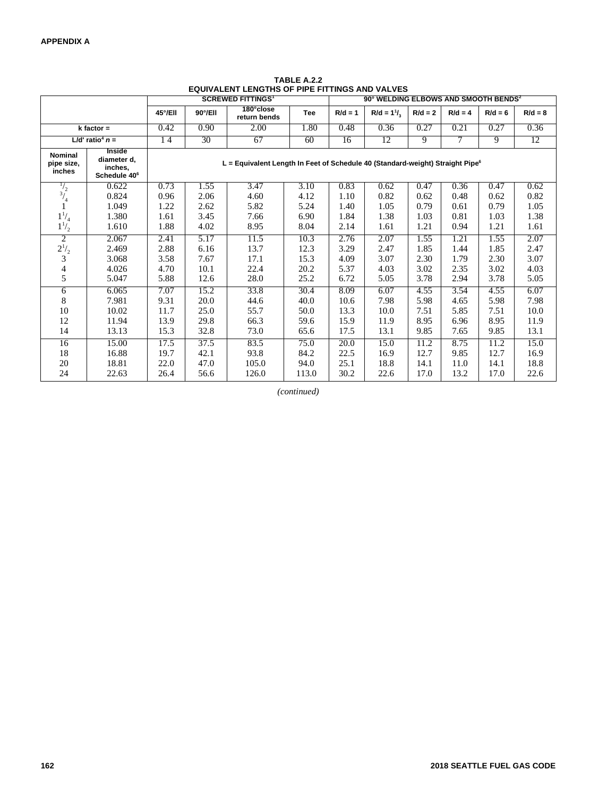|                                        |                                                              |         |                                                                                    | <b>SCREWED FITTINGS<sup>1</sup></b> | 90° WELDING ELBOWS AND SMOOTH BENDS <sup>2</sup> |           |                    |           |           |           |           |
|----------------------------------------|--------------------------------------------------------------|---------|------------------------------------------------------------------------------------|-------------------------------------|--------------------------------------------------|-----------|--------------------|-----------|-----------|-----------|-----------|
|                                        |                                                              | 45°/EII | 90°/Ell                                                                            | 180°close<br>return bends           | <b>Tee</b>                                       | $R/d = 1$ | $R/d = 1^{1}/_{3}$ | $R/d = 2$ | $R/d = 4$ | $R/d = 6$ | $R/d = 8$ |
| $k$ factor $=$                         |                                                              | 0.42    | 0.90                                                                               | 2.00                                | 1.80                                             | 0.48      | 0.36               | 0.27      | 0.21      | 0.27      | 0.36      |
|                                        | L/d' ratio <sup>4</sup> $n =$                                | 14      | 30                                                                                 | 67                                  | 60                                               | 16        | 12                 | 9         | 7         | 9         | 12        |
| <b>Nominal</b><br>pipe size,<br>inches | Inside<br>diameter d,<br>inches.<br>Schedule 40 <sup>6</sup> |         | $L =$ Equivalent Length In Feet of Schedule 40 (Standard-weight) Straight Pipe $6$ |                                     |                                                  |           |                    |           |           |           |           |
|                                        | 0.622                                                        | 0.73    | 1.55                                                                               | 3.47                                | 3.10                                             | 0.83      | 0.62               | 0.47      | 0.36      | 0.47      | 0.62      |
| $\frac{1}{3}$ / <sub>4</sub>           | 0.824                                                        | 0.96    | 2.06                                                                               | 4.60                                | 4.12                                             | 1.10      | 0.82               | 0.62      | 0.48      | 0.62      | 0.82      |
|                                        | 1.049                                                        | 1.22    | 2.62                                                                               | 5.82                                | 5.24                                             | 1.40      | 1.05               | 0.79      | 0.61      | 0.79      | 1.05      |
| $1^{1/4}$                              | 1.380                                                        | 1.61    | 3.45                                                                               | 7.66                                | 6.90                                             | 1.84      | 1.38               | 1.03      | 0.81      | 1.03      | 1.38      |
| $1^{1/2}$                              | 1.610                                                        | 1.88    | 4.02                                                                               | 8.95                                | 8.04                                             | 2.14      | 1.61               | 1.21      | 0.94      | 1.21      | 1.61      |
| $\overline{2}$                         | 2.067                                                        | 2.41    | 5.17                                                                               | 11.5                                | 10.3                                             | 2.76      | 2.07               | 1.55      | 1.21      | 1.55      | 2.07      |
| $2^{1/2}$                              | 2.469                                                        | 2.88    | 6.16                                                                               | 13.7                                | 12.3                                             | 3.29      | 2.47               | 1.85      | 1.44      | 1.85      | 2.47      |
| 3                                      | 3.068                                                        | 3.58    | 7.67                                                                               | 17.1                                | 15.3                                             | 4.09      | 3.07               | 2.30      | 1.79      | 2.30      | 3.07      |
| 4                                      | 4.026                                                        | 4.70    | 10.1                                                                               | 22.4                                | 20.2                                             | 5.37      | 4.03               | 3.02      | 2.35      | 3.02      | 4.03      |
| 5                                      | 5.047                                                        | 5.88    | 12.6                                                                               | 28.0                                | 25.2                                             | 6.72      | 5.05               | 3.78      | 2.94      | 3.78      | 5.05      |
| 6                                      | 6.065                                                        | 7.07    | 15.2                                                                               | 33.8                                | 30.4                                             | 8.09      | 6.07               | 4.55      | 3.54      | 4.55      | 6.07      |
| 8                                      | 7.981                                                        | 9.31    | 20.0                                                                               | 44.6                                | 40.0                                             | 10.6      | 7.98               | 5.98      | 4.65      | 5.98      | 7.98      |
| 10                                     | 10.02                                                        | 11.7    | 25.0                                                                               | 55.7                                | 50.0                                             | 13.3      | 10.0               | 7.51      | 5.85      | 7.51      | 10.0      |
| 12                                     | 11.94                                                        | 13.9    | 29.8                                                                               | 66.3                                | 59.6                                             | 15.9      | 11.9               | 8.95      | 6.96      | 8.95      | 11.9      |
| 14                                     | 13.13                                                        | 15.3    | 32.8                                                                               | 73.0                                | 65.6                                             | 17.5      | 13.1               | 9.85      | 7.65      | 9.85      | 13.1      |
| 16                                     | 15.00                                                        | 17.5    | 37.5                                                                               | 83.5                                | 75.0                                             | 20.0      | 15.0               | 11.2      | 8.75      | 11.2      | 15.0      |
| 18                                     | 16.88                                                        | 19.7    | 42.1                                                                               | 93.8                                | 84.2                                             | 22.5      | 16.9               | 12.7      | 9.85      | 12.7      | 16.9      |
| 20                                     | 18.81                                                        | 22.0    | 47.0                                                                               | 105.0                               | 94.0                                             | 25.1      | 18.8               | 14.1      | 11.0      | 14.1      | 18.8      |
| 24                                     | 22.63                                                        | 26.4    | 56.6                                                                               | 126.0                               | 113.0                                            | 30.2      | 22.6               | 17.0      | 13.2      | 17.0      | 22.6      |

**TABLE A.2.2 EQUIVALENT LENGTHS OF PIPE FITTINGS AND VALVES**

*(continued)*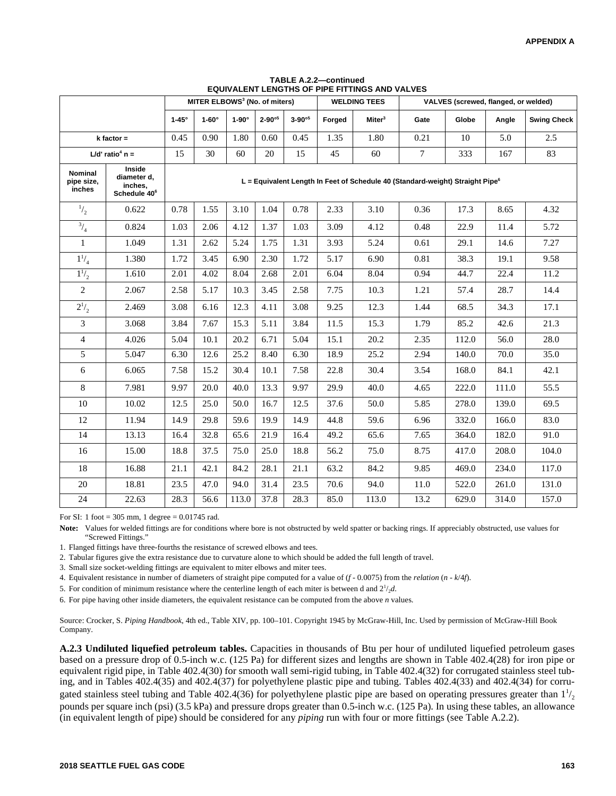|                                 |                                                              |              | MITER ELBOWS <sup>3</sup> (No. of miters)                                                 |              |        |         |        | <b>WELDING TEES</b> |                | VALVES (screwed, flanged, or welded) |       |                    |
|---------------------------------|--------------------------------------------------------------|--------------|-------------------------------------------------------------------------------------------|--------------|--------|---------|--------|---------------------|----------------|--------------------------------------|-------|--------------------|
|                                 |                                                              | $1-45^\circ$ | $1-60^\circ$                                                                              | $1-90^\circ$ | 2-90°5 | $3-90°$ | Forged | Miter <sup>3</sup>  | Gate           | Globe                                | Angle | <b>Swing Check</b> |
| $k$ factor $=$                  |                                                              | 0.45         | 0.90                                                                                      | 1.80         | 0.60   | 0.45    | 1.35   | 1.80                | 0.21           | 10                                   | 5.0   | 2.5                |
|                                 | $L/d'$ ratio <sup>4</sup> n =                                | 15           | 30                                                                                        | 60           | 20     | 15      | 45     | 60                  | $\overline{7}$ | 333                                  | 167   | 83                 |
| Nominal<br>pipe size,<br>inches | Inside<br>diameter d,<br>inches,<br>Schedule 40 <sup>6</sup> |              | L = Equivalent Length In Feet of Schedule 40 (Standard-weight) Straight Pipe <sup>6</sup> |              |        |         |        |                     |                |                                      |       |                    |
| $^{1}/_{2}$                     | 0.622                                                        | 0.78         | 1.55                                                                                      | 3.10         | 1.04   | 0.78    | 2.33   | 3.10                | 0.36           | 17.3                                 | 8.65  | 4.32               |
| $\frac{3}{4}$                   | 0.824                                                        | 1.03         | 2.06                                                                                      | 4.12         | 1.37   | 1.03    | 3.09   | 4.12                | 0.48           | 22.9                                 | 11.4  | 5.72               |
| $\mathbf{1}$                    | 1.049                                                        | 1.31         | 2.62                                                                                      | 5.24         | 1.75   | 1.31    | 3.93   | 5.24                | 0.61           | 29.1                                 | 14.6  | 7.27               |
| $1^{1/4}$                       | 1.380                                                        | 1.72         | 3.45                                                                                      | 6.90         | 2.30   | 1.72    | 5.17   | 6.90                | 0.81           | 38.3                                 | 19.1  | 9.58               |
| $1^{1/2}$                       | 1.610                                                        | 2.01         | 4.02                                                                                      | 8.04         | 2.68   | 2.01    | 6.04   | 8.04                | 0.94           | 44.7                                 | 22.4  | 11.2               |
| $\overline{c}$                  | 2.067                                                        | 2.58         | 5.17                                                                                      | 10.3         | 3.45   | 2.58    | 7.75   | 10.3                | 1.21           | 57.4                                 | 28.7  | 14.4               |
| $2^{1/2}$                       | 2.469                                                        | 3.08         | 6.16                                                                                      | 12.3         | 4.11   | 3.08    | 9.25   | 12.3                | 1.44           | 68.5                                 | 34.3  | 17.1               |
| 3                               | 3.068                                                        | 3.84         | 7.67                                                                                      | 15.3         | 5.11   | 3.84    | 11.5   | 15.3                | 1.79           | 85.2                                 | 42.6  | 21.3               |
| 4                               | 4.026                                                        | 5.04         | 10.1                                                                                      | 20.2         | 6.71   | 5.04    | 15.1   | 20.2                | 2.35           | 112.0                                | 56.0  | 28.0               |
| 5                               | 5.047                                                        | 6.30         | 12.6                                                                                      | 25.2         | 8.40   | 6.30    | 18.9   | 25.2                | 2.94           | 140.0                                | 70.0  | 35.0               |
| 6                               | 6.065                                                        | 7.58         | 15.2                                                                                      | 30.4         | 10.1   | 7.58    | 22.8   | 30.4                | 3.54           | 168.0                                | 84.1  | 42.1               |
| 8                               | 7.981                                                        | 9.97         | 20.0                                                                                      | 40.0         | 13.3   | 9.97    | 29.9   | 40.0                | 4.65           | 222.0                                | 111.0 | 55.5               |
| 10                              | 10.02                                                        | 12.5         | 25.0                                                                                      | 50.0         | 16.7   | 12.5    | 37.6   | 50.0                | 5.85           | 278.0                                | 139.0 | 69.5               |
| 12                              | 11.94                                                        | 14.9         | 29.8                                                                                      | 59.6         | 19.9   | 14.9    | 44.8   | 59.6                | 6.96           | 332.0                                | 166.0 | 83.0               |
| $\overline{14}$                 | 13.13                                                        | 16.4         | 32.8                                                                                      | 65.6         | 21.9   | 16.4    | 49.2   | 65.6                | 7.65           | 364.0                                | 182.0 | $\overline{91.0}$  |
| 16                              | 15.00                                                        | 18.8         | 37.5                                                                                      | 75.0         | 25.0   | 18.8    | 56.2   | 75.0                | 8.75           | 417.0                                | 208.0 | 104.0              |
| 18                              | 16.88                                                        | 21.1         | 42.1                                                                                      | 84.2         | 28.1   | 21.1    | 63.2   | 84.2                | 9.85           | 469.0                                | 234.0 | 117.0              |
| 20                              | 18.81                                                        | 23.5         | 47.0                                                                                      | 94.0         | 31.4   | 23.5    | 70.6   | 94.0                | 11.0           | 522.0                                | 261.0 | 131.0              |
| 24                              | 22.63                                                        | 28.3         | 56.6                                                                                      | 113.0        | 37.8   | 28.3    | 85.0   | 113.0               | 13.2           | 629.0                                | 314.0 | 157.0              |

### **TABLE A.2.2—continued EQUIVALENT LENGTHS OF PIPE FITTINGS AND VALVES**

For SI: 1 foot = 305 mm, 1 degree =  $0.01745$  rad.

**Note:** Values for welded fittings are for conditions where bore is not obstructed by weld spatter or backing rings. If appreciably obstructed, use values for "Screwed Fittings."

1. Flanged fittings have three-fourths the resistance of screwed elbows and tees.

2. Tabular figures give the extra resistance due to curvature alone to which should be added the full length of travel.

3. Small size socket-welding fittings are equivalent to miter elbows and miter tees.

4. Equivalent resistance in number of diameters of straight pipe computed for a value of (*f* - 0.0075) from the *relation* (*n* - *k*/4*f*).

5. For condition of minimum resistance where the centerline length of each miter is between d and  $2^{1/2}d$ .

6. For pipe having other inside diameters, the equivalent resistance can be computed from the above *n* values.

Source: Crocker, S. *Piping Handbook*, 4th ed., Table XIV, pp. 100–101. Copyright 1945 by McGraw-Hill, Inc. Used by permission of McGraw-Hill Book Company.

**A.2.3 Undiluted liquefied petroleum tables.** Capacities in thousands of Btu per hour of undiluted liquefied petroleum gases based on a pressure drop of 0.5-inch w.c. (125 Pa) for different sizes and lengths are shown in Table 402.4(28) for iron pipe or equivalent rigid pipe, in Table 402.4(30) for smooth wall semi-rigid tubing, in Table 402.4(32) for corrugated stainless steel tubing, and in Tables 402.4(35) and 402.4(37) for polyethylene plastic pipe and tubing. Tables 402.4(33) and 402.4(34) for corrugated stainless steel tubing and Table 402.4(36) for polyethylene plastic pipe are based on operating pressures greater than  $1\frac{1}{2}$ pounds per square inch (psi) (3.5 kPa) and pressure drops greater than 0.5-inch w.c. (125 Pa). In using these tables, an allowance (in equivalent length of pipe) should be considered for any *piping* run with four or more fittings (see Table A.2.2).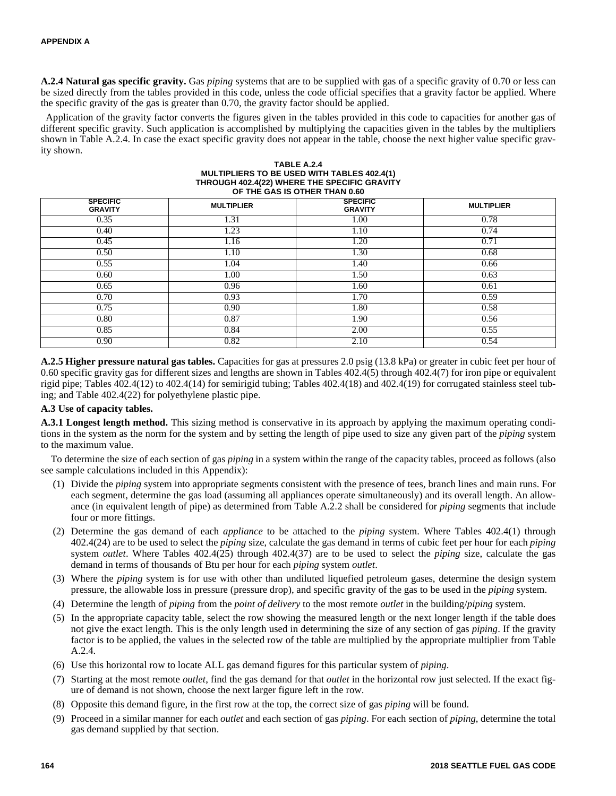**A.2.4 Natural gas specific gravity.** Gas *piping* systems that are to be supplied with gas of a specific gravity of 0.70 or less can be sized directly from the tables provided in this code, unless the code official specifies that a gravity factor be applied. Where the specific gravity of the gas is greater than 0.70, the gravity factor should be applied.

Application of the gravity factor converts the figures given in the tables provided in this code to capacities for another gas of different specific gravity. Such application is accomplished by multiplying the capacities given in the tables by the multipliers shown in Table A.2.4. In case the exact specific gravity does not appear in the table, choose the next higher value specific gravity shown.

| TABLE A.2.4                                        |
|----------------------------------------------------|
| <b>MULTIPLIERS TO BE USED WITH TABLES 402.4(1)</b> |
| THROUGH 402.4(22) WHERE THE SPECIFIC GRAVITY       |
| OF THE GAS IS OTHER THAN 0.60                      |

| <b>SPECIFIC</b><br><b>GRAVITY</b> | <b>MULTIPLIER</b> | <b>SPECIFIC</b><br><b>GRAVITY</b> | <b>MULTIPLIER</b> |  |  |  |  |  |
|-----------------------------------|-------------------|-----------------------------------|-------------------|--|--|--|--|--|
| 0.35                              | 1.31              | 1.00                              | 0.78              |  |  |  |  |  |
| 0.40                              | 1.23              | 1.10                              | 0.74              |  |  |  |  |  |
| 0.45                              | 1.16              | 1.20                              | 0.71              |  |  |  |  |  |
| 0.50                              | 1.10              | 1.30                              | 0.68              |  |  |  |  |  |
| 0.55                              | 1.04              | 1.40                              | 0.66              |  |  |  |  |  |
| 0.60                              | 1.00              | 1.50                              | 0.63              |  |  |  |  |  |
| 0.65                              | 0.96              | 1.60                              | 0.61              |  |  |  |  |  |
| 0.70                              | 0.93              | 1.70                              | 0.59              |  |  |  |  |  |
| 0.75                              | 0.90              | 1.80                              | 0.58              |  |  |  |  |  |
| 0.80                              | 0.87              | 1.90                              | 0.56              |  |  |  |  |  |
| 0.85                              | 0.84              | 2.00                              | 0.55              |  |  |  |  |  |
| 0.90                              | 0.82              | 2.10                              | 0.54              |  |  |  |  |  |

**A.2.5 Higher pressure natural gas tables.** Capacities for gas at pressures 2.0 psig (13.8 kPa) or greater in cubic feet per hour of 0.60 specific gravity gas for different sizes and lengths are shown in Tables 402.4(5) through 402.4(7) for iron pipe or equivalent rigid pipe; Tables 402.4(12) to 402.4(14) for semirigid tubing; Tables 402.4(18) and 402.4(19) for corrugated stainless steel tubing; and Table 402.4(22) for polyethylene plastic pipe.

## **A.3 Use of capacity tables.**

**A.3.1 Longest length method.** This sizing method is conservative in its approach by applying the maximum operating conditions in the system as the norm for the system and by setting the length of pipe used to size any given part of the *piping* system to the maximum value.

To determine the size of each section of gas *piping* in a system within the range of the capacity tables, proceed as follows (also see sample calculations included in this Appendix):

- (1) Divide the *piping* system into appropriate segments consistent with the presence of tees, branch lines and main runs. For each segment, determine the gas load (assuming all appliances operate simultaneously) and its overall length. An allowance (in equivalent length of pipe) as determined from Table A.2.2 shall be considered for *piping* segments that include four or more fittings.
- (2) Determine the gas demand of each *appliance* to be attached to the *piping* system. Where Tables 402.4(1) through 402.4(24) are to be used to select the *piping* size, calculate the gas demand in terms of cubic feet per hour for each *piping* system *outlet*. Where Tables 402.4(25) through 402.4(37) are to be used to select the *piping* size, calculate the gas demand in terms of thousands of Btu per hour for each *piping* system *outlet*.
- (3) Where the *piping* system is for use with other than undiluted liquefied petroleum gases, determine the design system pressure, the allowable loss in pressure (pressure drop), and specific gravity of the gas to be used in the *piping* system.
- (4) Determine the length of *piping* from the *point of delivery* to the most remote *outlet* in the building/*piping* system.
- (5) In the appropriate capacity table, select the row showing the measured length or the next longer length if the table does not give the exact length. This is the only length used in determining the size of any section of gas *piping*. If the gravity factor is to be applied, the values in the selected row of the table are multiplied by the appropriate multiplier from Table A.2.4.
- (6) Use this horizontal row to locate ALL gas demand figures for this particular system of *piping*.
- (7) Starting at the most remote *outlet*, find the gas demand for that *outlet* in the horizontal row just selected. If the exact figure of demand is not shown, choose the next larger figure left in the row.
- (8) Opposite this demand figure, in the first row at the top, the correct size of gas *piping* will be found.
- (9) Proceed in a similar manner for each *outlet* and each section of gas *piping*. For each section of *piping*, determine the total gas demand supplied by that section.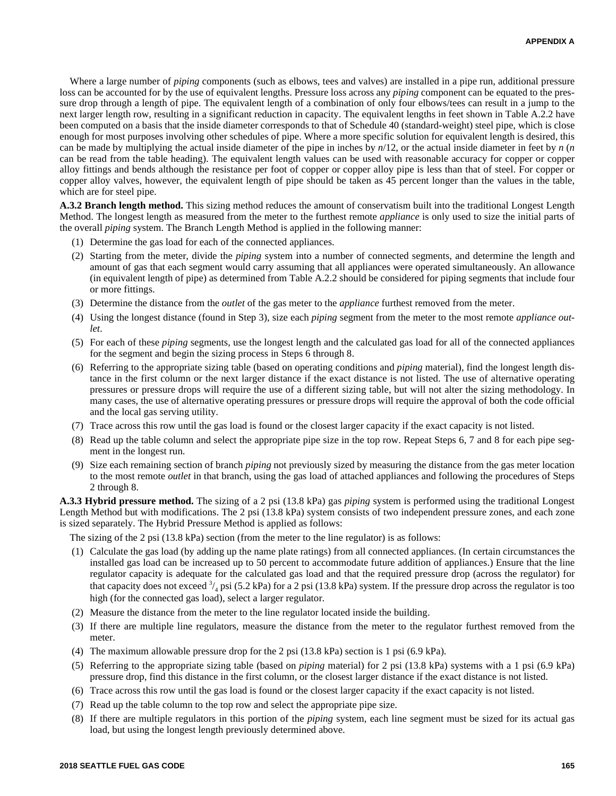Where a large number of *piping* components (such as elbows, tees and valves) are installed in a pipe run, additional pressure loss can be accounted for by the use of equivalent lengths. Pressure loss across any *piping* component can be equated to the pressure drop through a length of pipe. The equivalent length of a combination of only four elbows/tees can result in a jump to the next larger length row, resulting in a significant reduction in capacity. The equivalent lengths in feet shown in Table A.2.2 have been computed on a basis that the inside diameter corresponds to that of Schedule 40 (standard-weight) steel pipe, which is close enough for most purposes involving other schedules of pipe. Where a more specific solution for equivalent length is desired, this can be made by multiplying the actual inside diameter of the pipe in inches by *n*/12, or the actual inside diameter in feet by *n* (*n* can be read from the table heading). The equivalent length values can be used with reasonable accuracy for copper or copper alloy fittings and bends although the resistance per foot of copper or copper alloy pipe is less than that of steel. For copper or copper alloy valves, however, the equivalent length of pipe should be taken as 45 percent longer than the values in the table, which are for steel pipe.

**A.3.2 Branch length method.** This sizing method reduces the amount of conservatism built into the traditional Longest Length Method. The longest length as measured from the meter to the furthest remote *appliance* is only used to size the initial parts of the overall *piping* system. The Branch Length Method is applied in the following manner:

- (1) Determine the gas load for each of the connected appliances.
- (2) Starting from the meter, divide the *piping* system into a number of connected segments, and determine the length and amount of gas that each segment would carry assuming that all appliances were operated simultaneously. An allowance (in equivalent length of pipe) as determined from Table A.2.2 should be considered for piping segments that include four or more fittings.
- (3) Determine the distance from the *outlet* of the gas meter to the *appliance* furthest removed from the meter.
- (4) Using the longest distance (found in Step 3), size each *piping* segment from the meter to the most remote *appliance outlet*.
- (5) For each of these *piping* segments, use the longest length and the calculated gas load for all of the connected appliances for the segment and begin the sizing process in Steps 6 through 8.
- (6) Referring to the appropriate sizing table (based on operating conditions and *piping* material), find the longest length distance in the first column or the next larger distance if the exact distance is not listed. The use of alternative operating pressures or pressure drops will require the use of a different sizing table, but will not alter the sizing methodology. In many cases, the use of alternative operating pressures or pressure drops will require the approval of both the code official and the local gas serving utility.
- (7) Trace across this row until the gas load is found or the closest larger capacity if the exact capacity is not listed.
- (8) Read up the table column and select the appropriate pipe size in the top row. Repeat Steps 6, 7 and 8 for each pipe segment in the longest run.
- (9) Size each remaining section of branch *piping* not previously sized by measuring the distance from the gas meter location to the most remote *outlet* in that branch, using the gas load of attached appliances and following the procedures of Steps 2 through 8.

**A.3.3 Hybrid pressure method.** The sizing of a 2 psi (13.8 kPa) gas *piping* system is performed using the traditional Longest Length Method but with modifications. The 2 psi (13.8 kPa) system consists of two independent pressure zones, and each zone is sized separately. The Hybrid Pressure Method is applied as follows:

The sizing of the 2 psi (13.8 kPa) section (from the meter to the line regulator) is as follows:

- (1) Calculate the gas load (by adding up the name plate ratings) from all connected appliances. (In certain circumstances the installed gas load can be increased up to 50 percent to accommodate future addition of appliances.) Ensure that the line regulator capacity is adequate for the calculated gas load and that the required pressure drop (across the regulator) for that capacity does not exceed  $\frac{3}{4}$  psi (5.2 kPa) for a 2 psi (13.8 kPa) system. If the pressure drop across the regulator is too high (for the connected gas load), select a larger regulator.
- (2) Measure the distance from the meter to the line regulator located inside the building.
- (3) If there are multiple line regulators, measure the distance from the meter to the regulator furthest removed from the meter.
- (4) The maximum allowable pressure drop for the 2 psi (13.8 kPa) section is 1 psi (6.9 kPa).
- (5) Referring to the appropriate sizing table (based on *piping* material) for 2 psi (13.8 kPa) systems with a 1 psi (6.9 kPa) pressure drop, find this distance in the first column, or the closest larger distance if the exact distance is not listed.
- (6) Trace across this row until the gas load is found or the closest larger capacity if the exact capacity is not listed.
- (7) Read up the table column to the top row and select the appropriate pipe size.
- (8) If there are multiple regulators in this portion of the *piping* system, each line segment must be sized for its actual gas load, but using the longest length previously determined above.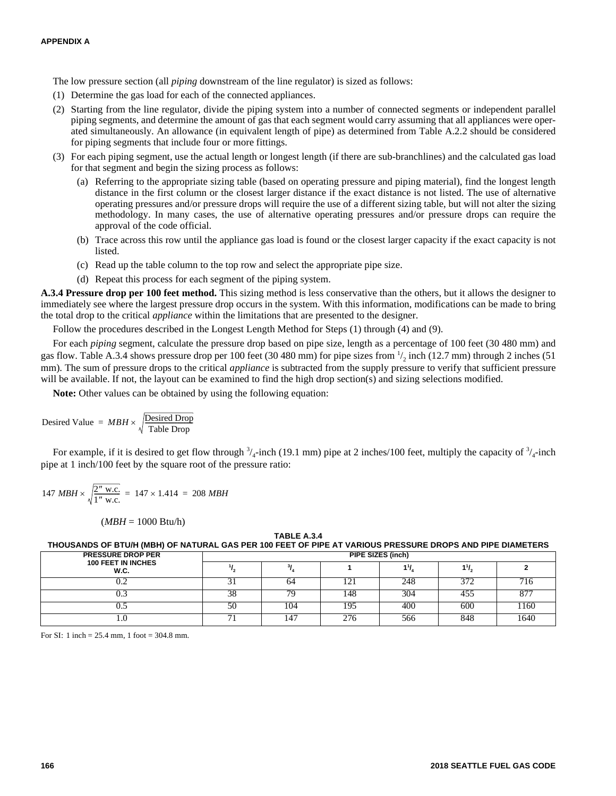The low pressure section (all *piping* downstream of the line regulator) is sized as follows:

- (1) Determine the gas load for each of the connected appliances.
- (2) Starting from the line regulator, divide the piping system into a number of connected segments or independent parallel piping segments, and determine the amount of gas that each segment would carry assuming that all appliances were operated simultaneously. An allowance (in equivalent length of pipe) as determined from Table A.2.2 should be considered for piping segments that include four or more fittings.
- (3) For each piping segment, use the actual length or longest length (if there are sub-branchlines) and the calculated gas load for that segment and begin the sizing process as follows:
	- (a) Referring to the appropriate sizing table (based on operating pressure and piping material), find the longest length distance in the first column or the closest larger distance if the exact distance is not listed. The use of alternative operating pressures and/or pressure drops will require the use of a different sizing table, but will not alter the sizing methodology. In many cases, the use of alternative operating pressures and/or pressure drops can require the approval of the code official.
	- (b) Trace across this row until the appliance gas load is found or the closest larger capacity if the exact capacity is not listed.
	- (c) Read up the table column to the top row and select the appropriate pipe size.
	- (d) Repeat this process for each segment of the piping system.

**A.3.4 Pressure drop per 100 feet method.** This sizing method is less conservative than the others, but it allows the designer to immediately see where the largest pressure drop occurs in the system. With this information, modifications can be made to bring the total drop to the critical *appliance* within the limitations that are presented to the designer.

Follow the procedures described in the Longest Length Method for Steps (1) through (4) and (9).

For each *piping* segment, calculate the pressure drop based on pipe size, length as a percentage of 100 feet (30 480 mm) and gas flow. Table A.3.4 shows pressure drop per 100 feet (30 480 mm) for pipe sizes from  $\frac{1}{2}$  inch (12.7 mm) through 2 inches (51 mm). The sum of pressure drops to the critical *appliance* is subtracted from the supply pressure to verify that sufficient pressure will be available. If not, the layout can be examined to find the high drop section(s) and sizing selections modified.

**Note:** Other values can be obtained by using the following equation:

Desired Value = 
$$
MBH \times \sqrt{\frac{\text{Desired Drop}}{\text{Table Drop}}}
$$

For example, if it is desired to get flow through  $\frac{3}{4}$ -inch (19.1 mm) pipe at 2 inches/100 feet, multiply the capacity of  $\frac{3}{4}$ -inch pipe at 1 inch/100 feet by the square root of the pressure ratio:

$$
147 \text{ MBH} \times \sqrt{\frac{2 \text{'' w.c.}}{1 \text{'' w.c.}}} = 147 \times 1.414 = 208 \text{ MBH}
$$

 $(MBH = 1000 \text{ Btu/h})$ 

**TABLE A.3.4**

| <b>PRESSURE DROP PER</b>          | <b>PIPE SIZES (inch)</b> |     |               |     |        |      |  |  |
|-----------------------------------|--------------------------|-----|---------------|-----|--------|------|--|--|
| 100 FEET IN INCHES<br><b>W.C.</b> |                          |     |               |     |        |      |  |  |
|                                   |                          | 04  | $\sim$ 4.4    | 248 | $\sim$ |      |  |  |
|                                   | აბ                       | 79  | .40           | 304 | 455    | 87   |  |  |
|                                   | οU                       | 104 | 195           | 400 | 600    | 160  |  |  |
| 1.V                               |                          | 14  | $\sim$<br>276 | 566 | 848    | 1640 |  |  |

**THOUSANDS OF BTU/H (MBH) OF NATURAL GAS PER 100 FEET OF PIPE AT VARIOUS PRESSURE DROPS AND PIPE DIAMETERS**

For SI: 1 inch = 25.4 mm, 1 foot = 304.8 mm.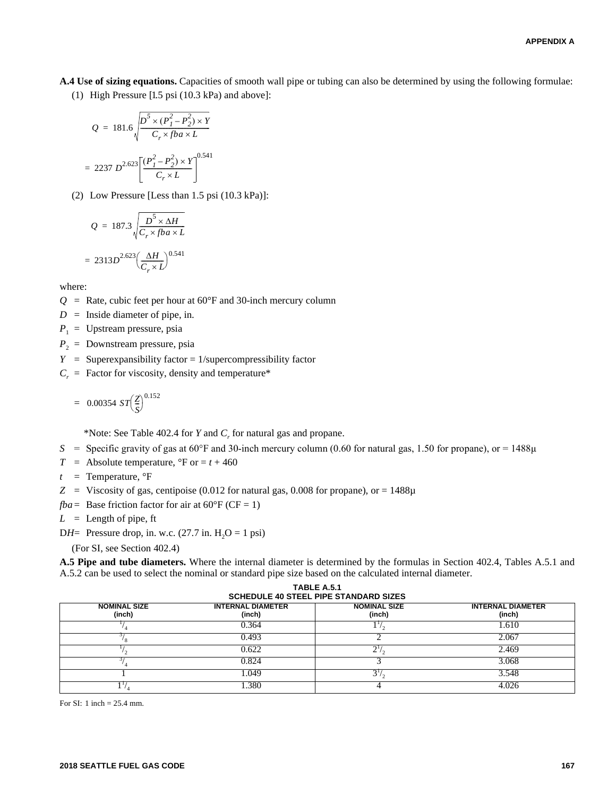**A.4 Use of sizing equations.** Capacities of smooth wall pipe or tubing can also be determined by using the following formulae: (1) High Pressure [1.5 psi (10.3 kPa) and above]:

$$
Q = 181.6 \sqrt{\frac{D^5 \times (P_I^2 - P_2^2) \times Y}{C_r \times fba \times L}}
$$

$$
= 2237 D^{2.623} \left[ \frac{(P_I^2 - P_2^2) \times Y}{C_r \times L} \right]^{0.541}
$$

(2) Low Pressure [Less than 1.5 psi (10.3 kPa)]:

$$
Q = 187.3 \sqrt{\frac{D^5 \times \Delta H}{C_r \times fba \times L}}
$$

$$
= 2313 D^{2.623} \left(\frac{\Delta H}{C_r \times L}\right)^{0.541}
$$

where:

 $Q =$  Rate, cubic feet per hour at 60°F and 30-inch mercury column

 $D =$  Inside diameter of pipe, in.

 $P_1$  = Upstream pressure, psia

 $P_2$  = Downstream pressure, psia

 $Y =$  Superexpansibility factor = 1/supercompressibility factor

 $C_r$  = Factor for viscosity, density and temperature\*

$$
= 0.00354 \, ST \left(\frac{Z}{S}\right)^{0.152}
$$

\*Note: See Table 402.4 for *Y* and *C<sup>r</sup>* for natural gas and propane.

- *S* = Specific gravity of gas at  $60^{\circ}$ F and 30-inch mercury column (0.60 for natural gas, 1.50 for propane), or = 1488 $\mu$
- *T* = Absolute temperature,  ${}^{\circ}$ F or = *t* + 460
- $t =$  Temperature,  ${}^{\circ}$ F

*Z* = Viscosity of gas, centipoise (0.012 for natural gas, 0.008 for propane), or =  $1488\mu$ 

*fba* = Base friction factor for air at  $60^{\circ}$ F (CF = 1)

- $L =$  Length of pipe, ft
- DH= Pressure drop, in. w.c.  $(27.7 \text{ in. H}_{2}O = 1 \text{ psi})$

(For SI, see Section 402.4)

**A.5 Pipe and tube diameters.** Where the internal diameter is determined by the formulas in Section 402.4, Tables A.5.1 and A.5.2 can be used to select the nominal or standard pipe size based on the calculated internal diameter.

| TABLE A.5.1<br><b>SCHEDULE 40 STEEL PIPE STANDARD SIZES</b> |                                    |                               |                                    |  |  |  |
|-------------------------------------------------------------|------------------------------------|-------------------------------|------------------------------------|--|--|--|
| <b>NOMINAL SIZE</b><br>(inch)                               | <b>INTERNAL DIAMETER</b><br>(inch) | <b>NOMINAL SIZE</b><br>(inch) | <b>INTERNAL DIAMETER</b><br>(inch) |  |  |  |
|                                                             | 0.364                              |                               | 1.610                              |  |  |  |
|                                                             | 0.493                              |                               | 2.067                              |  |  |  |
|                                                             | 0.622                              | $2^{1}$                       | 2.469                              |  |  |  |
|                                                             | 0.824                              |                               | 3.068                              |  |  |  |
|                                                             | 1.049                              | 3 <sup>1</sup>                | 3.548                              |  |  |  |
|                                                             | .380                               |                               | 4.026                              |  |  |  |

For SI: 1 inch = 25.4 mm.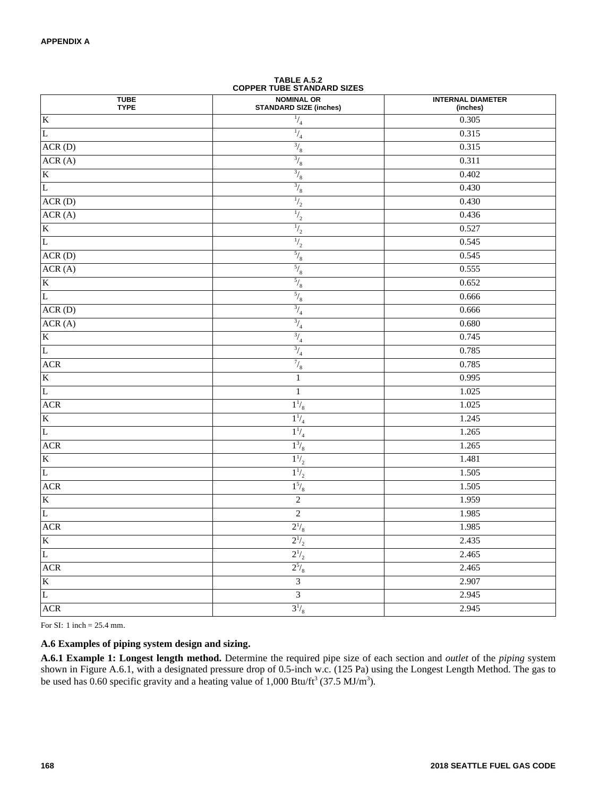| <b>TUBE</b><br><b>TYPE</b> | <b>NOMINAL OR</b><br><b>STANDARD SIZE (inches)</b> | <b>INTERNAL DIAMETER</b><br>(inches) |  |  |
|----------------------------|----------------------------------------------------|--------------------------------------|--|--|
| $\overline{\mathbf{K}}$    | $\frac{1}{4}$                                      | 0.305                                |  |  |
| $\overline{L}$             | $\frac{1}{4}$                                      | 0.315                                |  |  |
| ACR(D)                     | $^{3/}_{8}$                                        | 0.315                                |  |  |
| ACR(A)                     | $^{3}/_{8}$                                        | 0.311                                |  |  |
| $\overline{\mathbf{K}}$    | $^{3}/_{8}$                                        | 0.402                                |  |  |
| $\overline{\mathbf{L}}$    | $^{3/}_{8}$                                        | 0.430                                |  |  |
| ACR(D)                     | $\frac{1}{2}$                                      | 0.430                                |  |  |
| ACR(A)                     | $\frac{1}{2}$                                      | 0.436                                |  |  |
| $\overline{\mathbf{K}}$    | $\frac{1}{2}$                                      | 0.527                                |  |  |
| L                          | $\frac{1}{2}$                                      | 0.545                                |  |  |
| ACR(D)                     | $^{5/}_{8}$                                        | 0.545                                |  |  |
| $\overline{ACR(A)}$        | $^{5/}_{8}$                                        | 0.555                                |  |  |
| $\overline{\mathbf{K}}$    | $^{5/}_{8}$                                        | 0.652                                |  |  |
| $\overline{\text{L}}$      | $^{5/}_{8}$                                        | 0.666                                |  |  |
| ACR(D)                     | $^{3/}_{4}$                                        | 0.666                                |  |  |
| ACR(A)                     | $^{3/}_{4}$                                        | 0.680                                |  |  |
| $\overline{\mathbf{K}}$    | $^{3/}_{4}$                                        | 0.745                                |  |  |
| $\overline{L}$             | $^{3/}_{4}$                                        | 0.785                                |  |  |
| <b>ACR</b>                 | $\frac{7}{8}$                                      | 0.785                                |  |  |
| $\rm K$                    | $\,1\,$                                            | 0.995                                |  |  |
| $\overline{L}$             | $\mathbf{1}$                                       | 1.025                                |  |  |
| $\overline{\text{ACR}}$    | $1^{1/8}$                                          | 1.025                                |  |  |
| $\overline{\mathbf{K}}$    | $1^{1/4}$                                          | 1.245                                |  |  |
| $\overline{\mathbf{L}}$    | $1^{1/4}$                                          | 1.265                                |  |  |
| <b>ACR</b>                 | $1^{3/8}$                                          | 1.265                                |  |  |
| $\rm K$                    | $1^{1/2}$                                          | 1.481                                |  |  |
| L                          | $1^{1/2}$                                          | 1.505                                |  |  |
| <b>ACR</b>                 | $1^{5/8}$                                          | 1.505                                |  |  |
| $\rm K$                    | $\overline{2}$                                     | 1.959                                |  |  |
| $\overline{L}$             | $\overline{2}$                                     | 1.985                                |  |  |
| <b>ACR</b>                 | $2^{1/8}$                                          | 1.985                                |  |  |
| $\overline{\text{K}}$      | $\overline{2^1\prime_2}$                           | 2.435                                |  |  |
| $\overline{L}$             | $2^{1/2}$                                          | 2.465                                |  |  |
| <b>ACR</b>                 | $2^{5}/_{8}$                                       | 2.465                                |  |  |
| $\overline{\mathbf{K}}$    | $\overline{3}$                                     | 2.907                                |  |  |
| $\overline{\mathbf{L}}$    | $\overline{3}$                                     | 2.945                                |  |  |
| <b>ACR</b>                 | $3^{1/8}$                                          | 2.945                                |  |  |

**TABLE A.5.2 COPPER TUBE STANDARD SIZES**

For SI: 1 inch = 25.4 mm.

# **A.6 Examples of piping system design and sizing.**

**A.6.1 Example 1: Longest length method.** Determine the required pipe size of each section and *outlet* of the *piping* system shown in Figure A.6.1, with a designated pressure drop of 0.5-inch w.c. (125 Pa) using the Longest Length Method. The gas to be used has 0.60 specific gravity and a heating value of  $1,000 \text{ Btu/ft}^3$  (37.5 MJ/m<sup>3</sup>).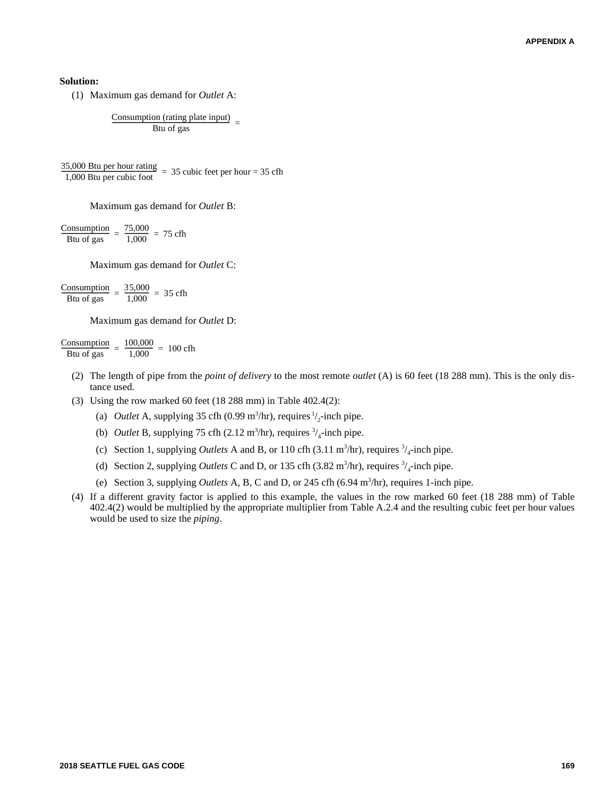#### **Solution:**

(1) Maximum gas demand for *Outlet* A:

$$
\frac{Consumption (rating plate input)}{But of gas} =
$$

 $\frac{35,000 \text{ Btu}}{1,000 \text{ Btu}}$  per hour rating = 35 cubic feet per hour = 35 cfh 1,000 Btu per cubic foot

Maximum gas demand for *Outlet* B:

Consumption  $\frac{\text{Consumption}}{\text{Btu of gas}} = \frac{75,000}{1,000} = 75 \text{ cfh}$ 

Maximum gas demand for *Outlet* C:

Consumption  $\frac{\text{Consumption}}{\text{Btu of gas}} = \frac{35,000}{1,000} = 35 \text{ cfh}$ 

Maximum gas demand for *Outlet* D:

Consumption  $\frac{\text{Consumption}}{\text{Btu of gas}} = \frac{100,000}{1,000} = 100 \text{ cfh}$ 

- (2) The length of pipe from the *point of delivery* to the most remote *outlet* (A) is 60 feet (18 288 mm). This is the only distance used.
- (3) Using the row marked 60 feet (18 288 mm) in Table 402.4(2):
	- (a) *Outlet* A, supplying 35 cfh (0.99 m<sup>3</sup>/hr), requires  $\frac{1}{2}$ -inch pipe.
	- (b) *Outlet* B, supplying 75 cfh (2.12 m<sup>3</sup>/hr), requires  $\frac{3}{4}$ -inch pipe.
	- (c) Section 1, supplying *Outlets* A and B, or 110 cfh (3.11 m<sup>3</sup>/hr), requires  $\frac{3}{4}$ -inch pipe.
	- (d) Section 2, supplying *Outlets* C and D, or 135 cfh (3.82 m<sup>3</sup>/hr), requires  $\frac{3}{4}$ -inch pipe.
	- (e) Section 3, supplying *Outlets* A, B, C and D, or 245 cfh (6.94 m<sup>3</sup> /hr), requires 1-inch pipe.
- (4) If a different gravity factor is applied to this example, the values in the row marked 60 feet (18 288 mm) of Table 402.4(2) would be multiplied by the appropriate multiplier from Table A.2.4 and the resulting cubic feet per hour values would be used to size the *piping*.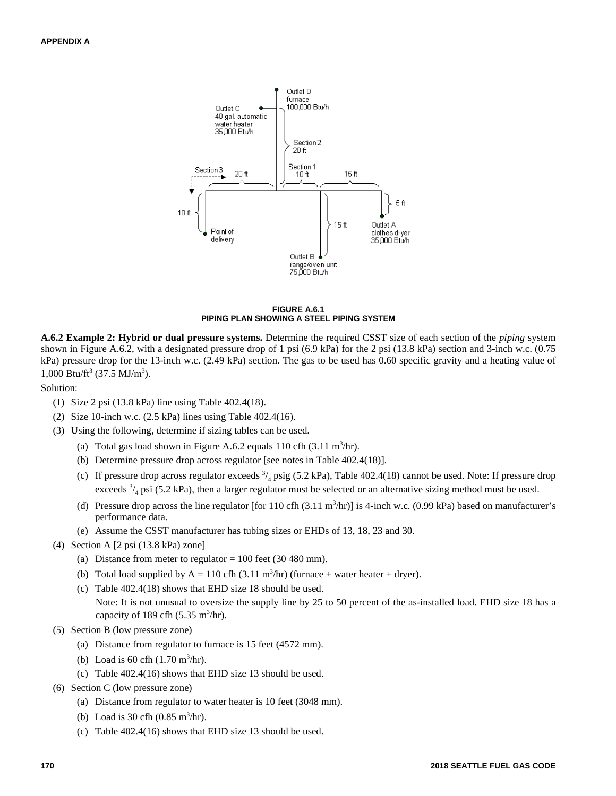

**FIGURE A.6.1 PIPING PLAN SHOWING A STEEL PIPING SYSTEM**

**A.6.2 Example 2: Hybrid or dual pressure systems.** Determine the required CSST size of each section of the *piping* system shown in Figure A.6.2, with a designated pressure drop of 1 psi (6.9 kPa) for the 2 psi (13.8 kPa) section and 3-inch w.c. (0.75 kPa) pressure drop for the 13-inch w.c. (2.49 kPa) section. The gas to be used has 0.60 specific gravity and a heating value of  $1,000 \text{ Btu/ft}^3$  (37.5 MJ/m<sup>3</sup>).

Solution:

- (1) Size 2 psi (13.8 kPa) line using Table 402.4(18).
- (2) Size 10-inch w.c. (2.5 kPa) lines using Table 402.4(16).
- (3) Using the following, determine if sizing tables can be used.
	- (a) Total gas load shown in Figure A.6.2 equals  $110$  cfh  $(3.11 \text{ m}^3/\text{hr})$ .
	- (b) Determine pressure drop across regulator [see notes in Table 402.4(18)].
	- (c) If pressure drop across regulator exceeds  $\frac{3}{4}$  psig (5.2 kPa), Table 402.4(18) cannot be used. Note: If pressure drop exceeds  $\frac{3}{4}$  psi (5.2 kPa), then a larger regulator must be selected or an alternative sizing method must be used.
	- (d) Pressure drop across the line regulator [for 110 cfh  $(3.11 \text{ m}^3/\text{hr})$ ] is 4-inch w.c.  $(0.99 \text{ kPa})$  based on manufacturer's performance data.
	- (e) Assume the CSST manufacturer has tubing sizes or EHDs of 13, 18, 23 and 30.
- (4) Section A [2 psi (13.8 kPa) zone]
	- (a) Distance from meter to regulator  $= 100$  feet (30 480 mm).
	- (b) Total load supplied by  $A = 110$  cfh (3.11 m<sup>3</sup>/hr) (furnace + water heater + dryer).
	- (c) Table 402.4(18) shows that EHD size 18 should be used.

Note: It is not unusual to oversize the supply line by 25 to 50 percent of the as-installed load. EHD size 18 has a capacity of 189 cfh  $(5.35 \text{ m}^3/\text{hr})$ .

- (5) Section B (low pressure zone)
	- (a) Distance from regulator to furnace is 15 feet (4572 mm).
	- (b) Load is 60 cfh  $(1.70 \text{ m}^3/\text{hr})$ .
	- (c) Table 402.4(16) shows that EHD size 13 should be used.
- (6) Section C (low pressure zone)
	- (a) Distance from regulator to water heater is 10 feet (3048 mm).
	- (b) Load is 30 cfh  $(0.85 \text{ m}^3/\text{hr})$ .
	- (c) Table 402.4(16) shows that EHD size 13 should be used.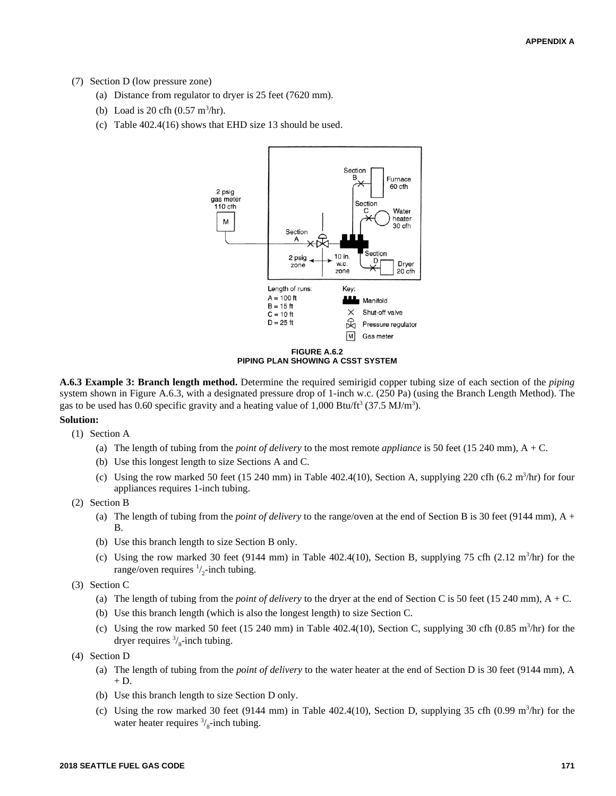- (7) Section D (low pressure zone)
	- (a) Distance from regulator to dryer is 25 feet (7620 mm).
	- (b) Load is 20 cfh  $(0.57 \text{ m}^3/\text{hr})$ .
	- (c) Table 402.4(16) shows that EHD size 13 should be used.



**PIPING PLAN SHOWING A CSST SYSTEM**

**A.6.3 Example 3: Branch length method.** Determine the required semirigid copper tubing size of each section of the *piping* system shown in Figure A.6.3, with a designated pressure drop of 1-inch w.c. (250 Pa) (using the Branch Length Method). The gas to be used has 0.60 specific gravity and a heating value of  $1,000 \text{ Btu/ft}^3$  (37.5 MJ/m<sup>3</sup>).

## **Solution:**

- (1) Section A
	- (a) The length of tubing from the *point of delivery* to the most remote *appliance* is 50 feet (15 240 mm),  $A + C$ .
	- (b) Use this longest length to size Sections A and C.
	- (c) Using the row marked 50 feet  $(15\ 240\ \text{mm})$  in Table 402.4(10), Section A, supplying 220 cfh  $(6.2 \text{ m}^3/\text{hr})$  for four appliances requires 1-inch tubing.
- (2) Section B
	- (a) The length of tubing from the *point of delivery* to the range/oven at the end of Section B is 30 feet (9144 mm),  $A +$ B.
	- (b) Use this branch length to size Section B only.
	- (c) Using the row marked 30 feet (9144 mm) in Table 402.4(10), Section B, supplying 75 cfh (2.12 m<sup>3</sup>/hr) for the range/oven requires  $\frac{1}{2}$ -inch tubing.
- (3) Section C
	- (a) The length of tubing from the *point of delivery* to the dryer at the end of Section C is 50 feet (15 240 mm),  $A + C$ .
	- (b) Use this branch length (which is also the longest length) to size Section C.
	- (c) Using the row marked 50 feet (15 240 mm) in Table 402.4(10), Section C, supplying 30 cfh (0.85 m<sup>3</sup>/hr) for the dryer requires  $\frac{3}{8}$ -inch tubing.
- (4) Section D
	- (a) The length of tubing from the *point of delivery* to the water heater at the end of Section D is 30 feet (9144 mm), A  $+ D.$
	- (b) Use this branch length to size Section D only.
	- (c) Using the row marked 30 feet (9144 mm) in Table 402.4(10), Section D, supplying 35 cfh (0.99 m<sup>3</sup>/hr) for the water heater requires  $\frac{3}{8}$ -inch tubing.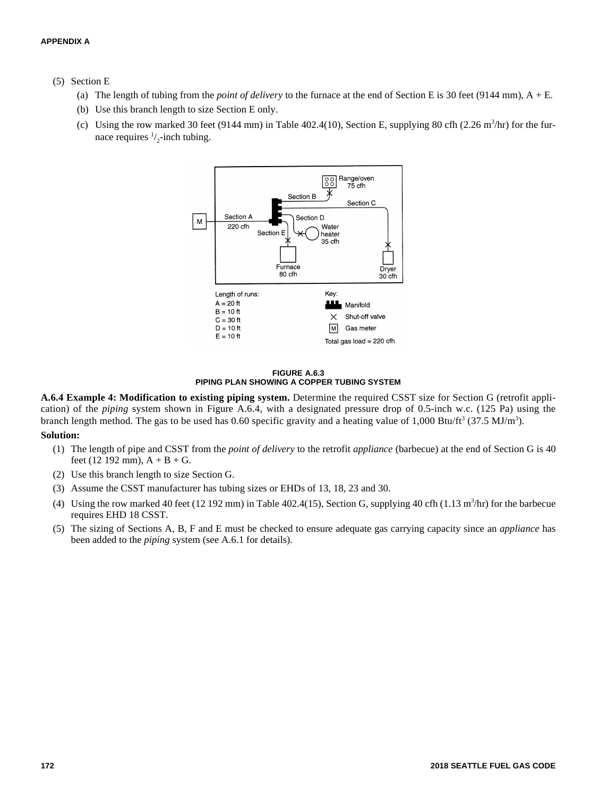## (5) Section E

- (a) The length of tubing from the *point of delivery* to the furnace at the end of Section E is 30 feet (9144 mm),  $A + E$ .
- (b) Use this branch length to size Section E only.
- (c) Using the row marked 30 feet (9144 mm) in Table 402.4(10), Section E, supplying 80 cfh (2.26 m<sup>3</sup>/hr) for the furnace requires  $\frac{1}{2}$ -inch tubing.



**FIGURE A.6.3 PIPING PLAN SHOWING A COPPER TUBING SYSTEM**

**A.6.4 Example 4: Modification to existing piping system.** Determine the required CSST size for Section G (retrofit application) of the *piping* system shown in Figure A.6.4, with a designated pressure drop of 0.5-inch w.c. (125 Pa) using the branch length method. The gas to be used has 0.60 specific gravity and a heating value of  $1,000$  Btu/ft<sup>3</sup> (37.5 MJ/m<sup>3</sup>).

## **Solution:**

- (1) The length of pipe and CSST from the *point of delivery* to the retrofit *appliance* (barbecue) at the end of Section G is 40 feet (12 192 mm),  $A + B + G$ .
- (2) Use this branch length to size Section G.
- (3) Assume the CSST manufacturer has tubing sizes or EHDs of 13, 18, 23 and 30.
- (4) Using the row marked 40 feet (12 192 mm) in Table 402.4(15), Section G, supplying 40 cfh (1.13 m<sup>3</sup>/hr) for the barbecue requires EHD 18 CSST.
- (5) The sizing of Sections A, B, F and E must be checked to ensure adequate gas carrying capacity since an *appliance* has been added to the *piping* system (see A.6.1 for details).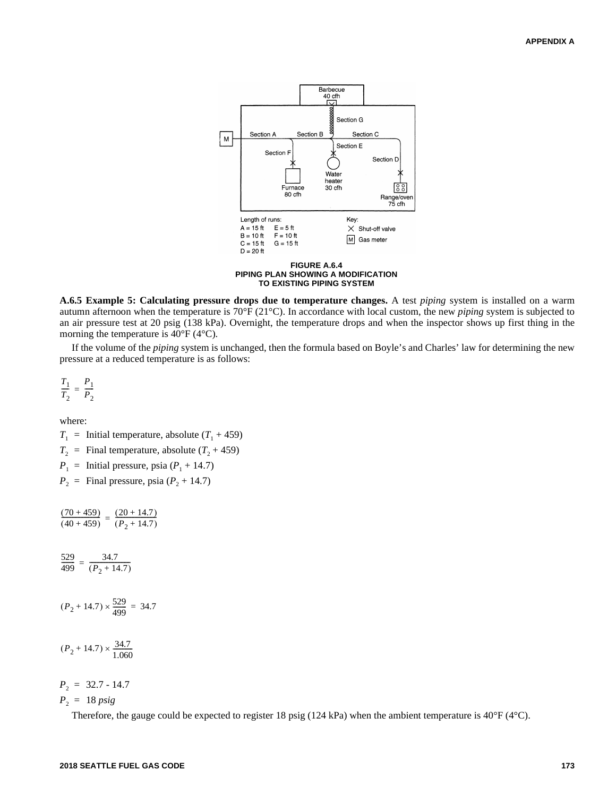

**A.6.5 Example 5: Calculating pressure drops due to temperature changes.** A test *piping* system is installed on a warm autumn afternoon when the temperature is 70°F (21°C). In accordance with local custom, the new *piping* system is subjected to an air pressure test at 20 psig (138 kPa). Overnight, the temperature drops and when the inspector shows up first thing in the morning the temperature is 40°F (4°C).

If the volume of the *piping* system is unchanged, then the formula based on Boyle's and Charles' law for determining the new pressure at a reduced temperature is as follows:

$$
\frac{T_1}{T_2} = \frac{P_1}{P_2}
$$

where:

 $T_1$  = Initial temperature, absolute  $(T_1 + 459)$ 

 $T_2$  = Final temperature, absolute  $(T_2 + 459)$ 

 $P_1$  = Initial pressure, psia ( $P_1$  + 14.7)

 $P_2$  = Final pressure, psia ( $P_2$  + 14.7)

$$
\frac{(70+459)}{(40+459)} = \frac{(20+14.7)}{(P_2+14.7)}
$$

529  $\frac{529}{499} = \frac{34.7}{(P_2 + 14)}$  $=\frac{34.7}{(P_2+14.7)}$ 

$$
(P_2 + 14.7) \times \frac{529}{499} = 34.7
$$

$$
(P_2 + 14.7) \times \frac{34.7}{1.060}
$$

 $P_2 = 32.7 - 14.7$  $P_2 = 18 \text{ psig}$ 

Therefore, the gauge could be expected to register 18 psig (124 kPa) when the ambient temperature is 40 $\degree$ F (4 $\degree$ C).